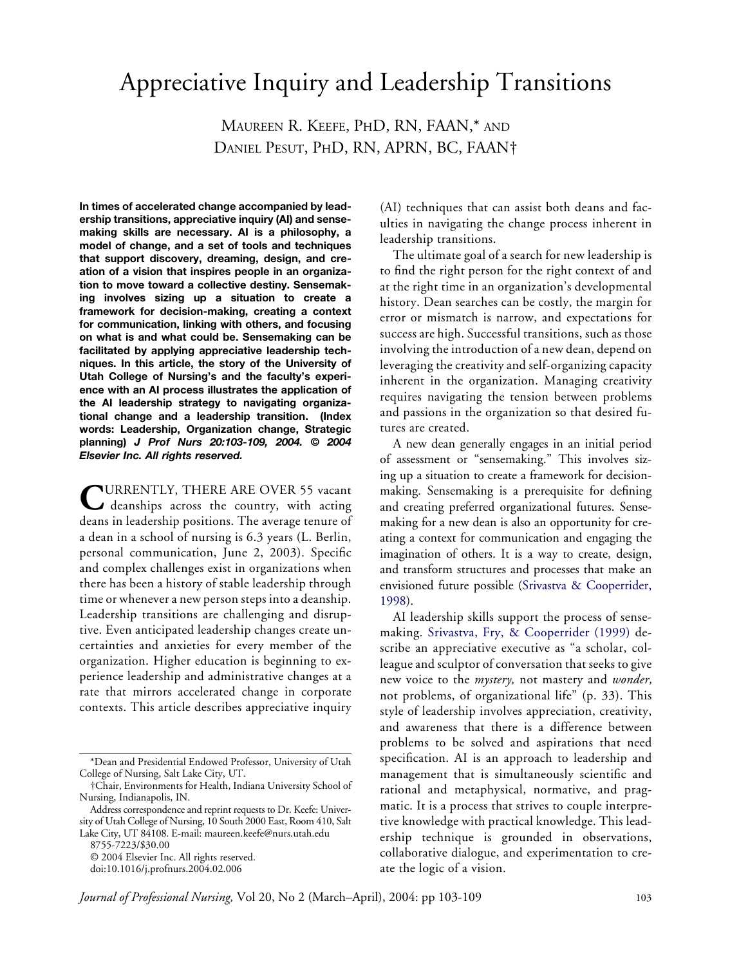# Appreciative Inquiry and Leadership Transitions

MAUREEN R. KEEFE, PHD, RN, FAAN,\* AND DANIEL PESUT, PHD, RN, APRN, BC, FAAN†

**In times of accelerated change accompanied by leadership transitions, appreciative inquiry (AI) and sensemaking skills are necessary. AI is a philosophy, a model of change, and a set of tools and techniques that support discovery, dreaming, design, and creation of a vision that inspires people in an organization to move toward a collective destiny. Sensemaking involves sizing up a situation to create a framework for decision-making, creating a context for communication, linking with others, and focusing on what is and what could be. Sensemaking can be facilitated by applying appreciative leadership techniques. In this article, the story of the University of Utah College of Nursing's and the faculty's experience with an AI process illustrates the application of the AI leadership strategy to navigating organizational change and a leadership transition. (Index words: Leadership, Organization change, Strategic planning)** *J Prof Nurs 20:103-109, 2004. © 2004 Elsevier Inc. All rights reserved.*

**CURRENTLY, THERE ARE OVER 55 vacant**<br>deanships across the country, with acting deans in leadership positions. The average tenure of a dean in a school of nursing is 6.3 years (L. Berlin, personal communication, June 2, 2003). Specific and complex challenges exist in organizations when there has been a history of stable leadership through time or whenever a new person steps into a deanship. Leadership transitions are challenging and disruptive. Even anticipated leadership changes create uncertainties and anxieties for every member of the organization. Higher education is beginning to experience leadership and administrative changes at a rate that mirrors accelerated change in corporate contexts. This article describes appreciative inquiry

8755-7223/\$30.00

© 2004 Elsevier Inc. All rights reserved. doi:10.1016/j.profnurs.2004.02.006

(AI) techniques that can assist both deans and faculties in navigating the change process inherent in leadership transitions.

The ultimate goal of a search for new leadership is to find the right person for the right context of and at the right time in an organization's developmental history. Dean searches can be costly, the margin for error or mismatch is narrow, and expectations for success are high. Successful transitions, such as those involving the introduction of a new dean, depend on leveraging the creativity and self-organizing capacity inherent in the organization. Managing creativity requires navigating the tension between problems and passions in the organization so that desired futures are created.

A new dean generally engages in an initial period of assessment or "sensemaking." This involves sizing up a situation to create a framework for decisionmaking. Sensemaking is a prerequisite for defining and creating preferred organizational futures. Sensemaking for a new dean is also an opportunity for creating a context for communication and engaging the imagination of others. It is a way to create, design, and transform structures and processes that make an envisioned future possible [\(Srivastva & Cooperrider,](#page-6-0) [1998\)](#page-6-0).

AI leadership skills support the process of sensemaking. [Srivastva, Fry, & Cooperrider \(1999\)](#page-6-0) describe an appreciative executive as "a scholar, colleague and sculptor of conversation that seeks to give new voice to the *mystery,* not mastery and *wonder,* not problems, of organizational life" (p. 33). This style of leadership involves appreciation, creativity, and awareness that there is a difference between problems to be solved and aspirations that need specification. AI is an approach to leadership and management that is simultaneously scientific and rational and metaphysical, normative, and pragmatic. It is a process that strives to couple interpretive knowledge with practical knowledge. This leadership technique is grounded in observations, collaborative dialogue, and experimentation to create the logic of a vision.

<sup>\*</sup>Dean and Presidential Endowed Professor, University of Utah College of Nursing, Salt Lake City, UT.

<sup>†</sup>Chair, Environments for Health, Indiana University School of Nursing, Indianapolis, IN.

Address correspondence and reprint requests to Dr. Keefe: University of Utah College of Nursing, 10 South 2000 East, Room 410, Salt Lake City, UT 84108. E-mail: maureen.keefe@nurs.utah.edu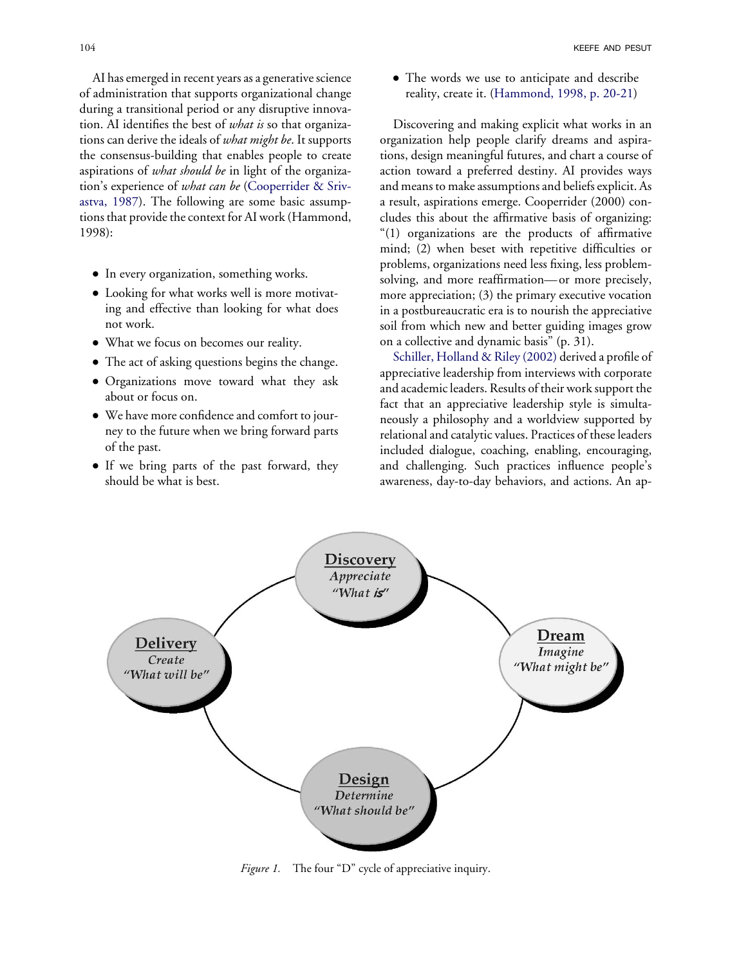AI has emerged in recent years as a generative science of administration that supports organizational change during a transitional period or any disruptive innovation. AI identifies the best of *what is* so that organizations can derive the ideals of *what might be*. It supports the consensus-building that enables people to create aspirations of *what should be* in light of the organization's experience of *what can be* [\(Cooperrider & Sriv](#page-6-0)[astva, 1987\)](#page-6-0). The following are some basic assumptions that provide the context for AI work (Hammond, 1998):

- In every organization, something works.
- Looking for what works well is more motivating and effective than looking for what does not work.
- What we focus on becomes our reality.
- The act of asking questions begins the change.
- Organizations move toward what they ask about or focus on.
- We have more confidence and comfort to journey to the future when we bring forward parts of the past.
- If we bring parts of the past forward, they should be what is best.

● The words we use to anticipate and describe reality, create it. [\(Hammond, 1998, p. 20-21\)](#page-6-0)

Discovering and making explicit what works in an organization help people clarify dreams and aspirations, design meaningful futures, and chart a course of action toward a preferred destiny. AI provides ways and means to make assumptions and beliefs explicit. As a result, aspirations emerge. Cooperrider (2000) concludes this about the affirmative basis of organizing: "(1) organizations are the products of affirmative mind; (2) when beset with repetitive difficulties or problems, organizations need less fixing, less problemsolving, and more reaffirmation—or more precisely, more appreciation; (3) the primary executive vocation in a postbureaucratic era is to nourish the appreciative soil from which new and better guiding images grow on a collective and dynamic basis" (p. 31).

[Schiller, Holland & Riley \(2002\)](#page-6-0) derived a profile of appreciative leadership from interviews with corporate and academic leaders. Results of their work support the fact that an appreciative leadership style is simultaneously a philosophy and a worldview supported by relational and catalytic values. Practices of these leaders included dialogue, coaching, enabling, encouraging, and challenging. Such practices influence people's awareness, day-to-day behaviors, and actions. An ap-



*Figure 1.* The four "D" cycle of appreciative inquiry.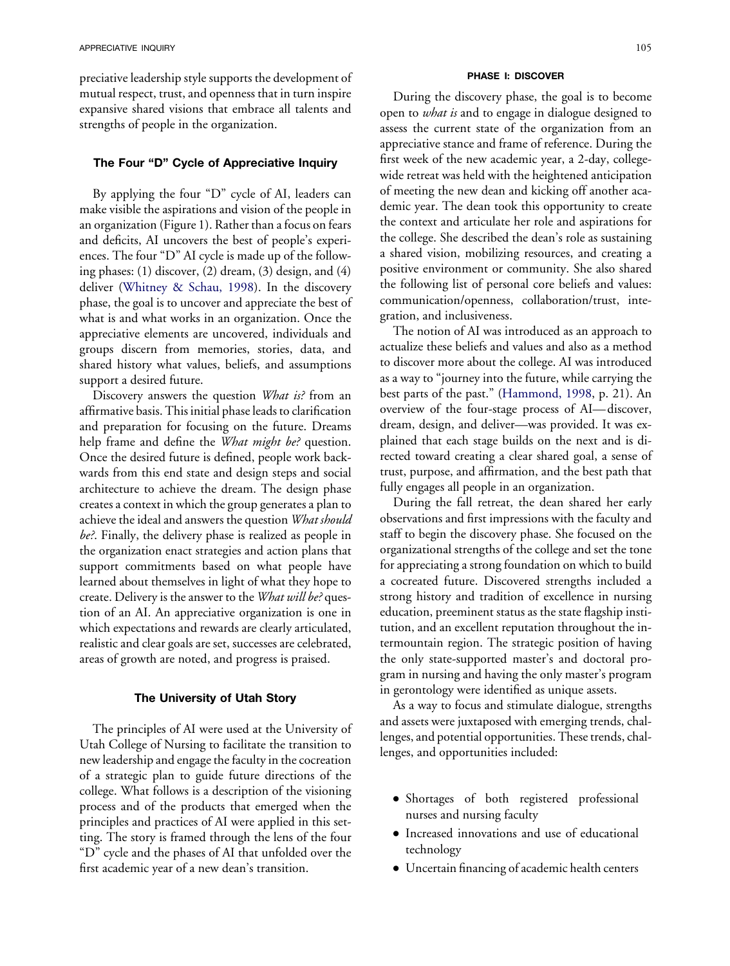preciative leadership style supports the development of mutual respect, trust, and openness that in turn inspire expansive shared visions that embrace all talents and strengths of people in the organization.

#### **The Four "D" Cycle of Appreciative Inquiry**

By applying the four "D" cycle of AI, leaders can make visible the aspirations and vision of the people in an organization (Figure 1). Rather than a focus on fears and deficits, AI uncovers the best of people's experiences. The four "D" AI cycle is made up of the following phases: (1) discover, (2) dream, (3) design, and (4) deliver [\(Whitney & Schau, 1998\)](#page-6-0). In the discovery phase, the goal is to uncover and appreciate the best of what is and what works in an organization. Once the appreciative elements are uncovered, individuals and groups discern from memories, stories, data, and shared history what values, beliefs, and assumptions support a desired future.

Discovery answers the question *What is?* from an affirmative basis. This initial phase leads to clarification and preparation for focusing on the future. Dreams help frame and define the *What might be?* question. Once the desired future is defined, people work backwards from this end state and design steps and social architecture to achieve the dream. The design phase creates a context in which the group generates a plan to achieve the ideal and answers the question *What should be?*. Finally, the delivery phase is realized as people in the organization enact strategies and action plans that support commitments based on what people have learned about themselves in light of what they hope to create. Delivery is the answer to the *What will be?* question of an AI. An appreciative organization is one in which expectations and rewards are clearly articulated, realistic and clear goals are set, successes are celebrated, areas of growth are noted, and progress is praised.

# **The University of Utah Story**

The principles of AI were used at the University of Utah College of Nursing to facilitate the transition to new leadership and engage the faculty in the cocreation of a strategic plan to guide future directions of the college. What follows is a description of the visioning process and of the products that emerged when the principles and practices of AI were applied in this setting. The story is framed through the lens of the four "D" cycle and the phases of AI that unfolded over the first academic year of a new dean's transition.

#### **PHASE I: DISCOVER**

During the discovery phase, the goal is to become open to *what is* and to engage in dialogue designed to assess the current state of the organization from an appreciative stance and frame of reference. During the first week of the new academic year, a 2-day, collegewide retreat was held with the heightened anticipation of meeting the new dean and kicking off another academic year. The dean took this opportunity to create the context and articulate her role and aspirations for the college. She described the dean's role as sustaining a shared vision, mobilizing resources, and creating a positive environment or community. She also shared the following list of personal core beliefs and values: communication/openness, collaboration/trust, integration, and inclusiveness.

The notion of AI was introduced as an approach to actualize these beliefs and values and also as a method to discover more about the college. AI was introduced as a way to "journey into the future, while carrying the best parts of the past." [\(Hammond, 1998,](#page-6-0) p. 21). An overview of the four-stage process of AI—discover, dream, design, and deliver—was provided. It was explained that each stage builds on the next and is directed toward creating a clear shared goal, a sense of trust, purpose, and affirmation, and the best path that fully engages all people in an organization.

During the fall retreat, the dean shared her early observations and first impressions with the faculty and staff to begin the discovery phase. She focused on the organizational strengths of the college and set the tone for appreciating a strong foundation on which to build a cocreated future. Discovered strengths included a strong history and tradition of excellence in nursing education, preeminent status as the state flagship institution, and an excellent reputation throughout the intermountain region. The strategic position of having the only state-supported master's and doctoral program in nursing and having the only master's program in gerontology were identified as unique assets.

As a way to focus and stimulate dialogue, strengths and assets were juxtaposed with emerging trends, challenges, and potential opportunities. These trends, challenges, and opportunities included:

- Shortages of both registered professional nurses and nursing faculty
- Increased innovations and use of educational technology
- Uncertain financing of academic health centers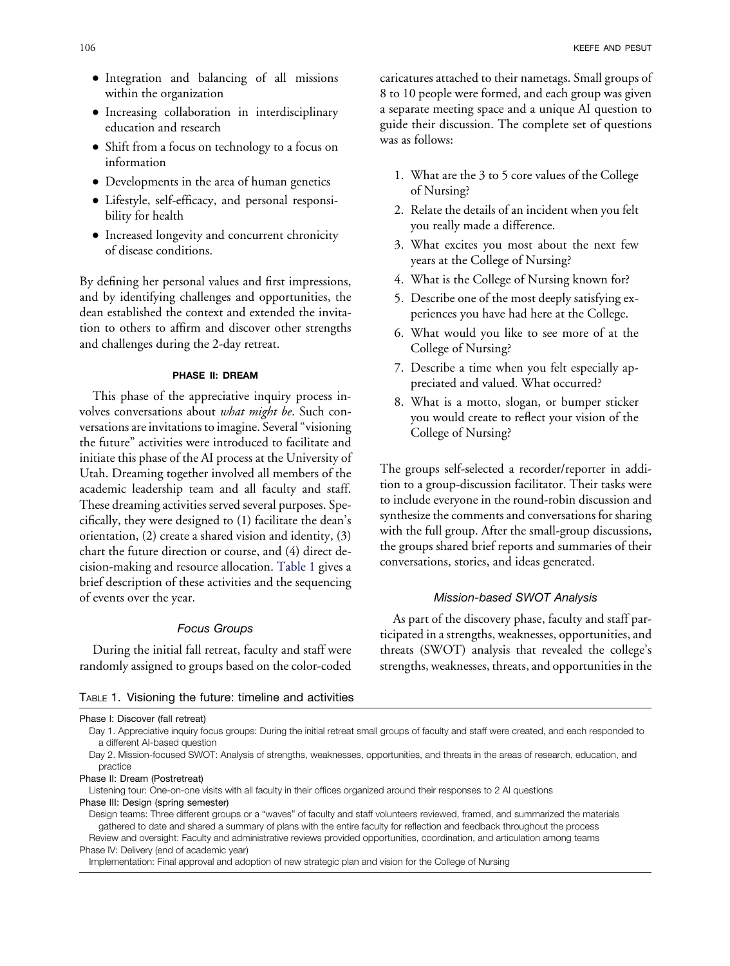- Integration and balancing of all missions within the organization
- Increasing collaboration in interdisciplinary education and research
- Shift from a focus on technology to a focus on information
- Developments in the area of human genetics
- Lifestyle, self-efficacy, and personal responsibility for health
- Increased longevity and concurrent chronicity of disease conditions.

By defining her personal values and first impressions, and by identifying challenges and opportunities, the dean established the context and extended the invitation to others to affirm and discover other strengths and challenges during the 2-day retreat.

### **PHASE II: DREAM**

This phase of the appreciative inquiry process involves conversations about *what might be*. Such conversations are invitations to imagine. Several "visioning the future" activities were introduced to facilitate and initiate this phase of the AI process at the University of Utah. Dreaming together involved all members of the academic leadership team and all faculty and staff. These dreaming activities served several purposes. Specifically, they were designed to (1) facilitate the dean's orientation, (2) create a shared vision and identity, (3) chart the future direction or course, and (4) direct decision-making and resource allocation. Table 1 gives a brief description of these activities and the sequencing of events over the year.

# *Focus Groups*

During the initial fall retreat, faculty and staff were randomly assigned to groups based on the color-coded

TABLE 1. Visioning the future: timeline and activities

caricatures attached to their nametags. Small groups of 8 to 10 people were formed, and each group was given a separate meeting space and a unique AI question to guide their discussion. The complete set of questions was as follows:

- 1. What are the 3 to 5 core values of the College of Nursing?
- 2. Relate the details of an incident when you felt you really made a difference.
- 3. What excites you most about the next few years at the College of Nursing?
- 4. What is the College of Nursing known for?
- 5. Describe one of the most deeply satisfying experiences you have had here at the College.
- 6. What would you like to see more of at the College of Nursing?
- 7. Describe a time when you felt especially appreciated and valued. What occurred?
- 8. What is a motto, slogan, or bumper sticker you would create to reflect your vision of the College of Nursing?

The groups self-selected a recorder/reporter in addition to a group-discussion facilitator. Their tasks were to include everyone in the round-robin discussion and synthesize the comments and conversations for sharing with the full group. After the small-group discussions, the groups shared brief reports and summaries of their conversations, stories, and ideas generated.

### *Mission-based SWOT Analysis*

As part of the discovery phase, faculty and staff participated in a strengths, weaknesses, opportunities, and threats (SWOT) analysis that revealed the college's strengths, weaknesses, threats, and opportunities in the

| Day 1. Appreciative inquiry focus groups: During the initial retreat small groups of faculty and staff were created, and each responded to |
|--------------------------------------------------------------------------------------------------------------------------------------------|
| a different Al-based question                                                                                                              |
| Day 0 Mission focused CMOT: Analysis of strengths, weaknesses, appeatupities, and threats in the excess of research, advertises, and       |

Day 2. Mission-focused SWOT: Analysis of strengths, weaknesses, opportunities, and threats in the areas of research, education, and practice

Phase II: Dream (Postretreat)

Phase I: Discover (fall retreat)

Listening tour: One-on-one visits with all faculty in their offices organized around their responses to 2 AI questions

Phase III: Design (spring semester)

Design teams: Three different groups or a "waves" of faculty and staff volunteers reviewed, framed, and summarized the materials gathered to date and shared a summary of plans with the entire faculty for reflection and feedback throughout the process Review and oversight: Faculty and administrative reviews provided opportunities, coordination, and articulation among teams

Phase IV: Delivery (end of academic year)

Implementation: Final approval and adoption of new strategic plan and vision for the College of Nursing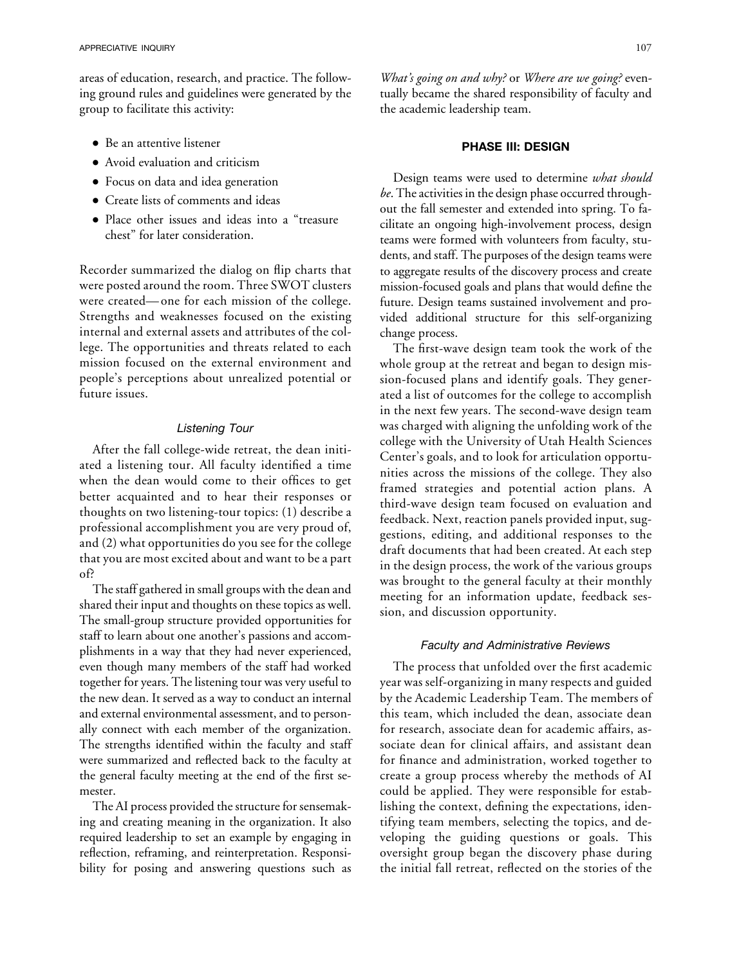areas of education, research, and practice. The following ground rules and guidelines were generated by the group to facilitate this activity:

- Be an attentive listener
- Avoid evaluation and criticism
- Focus on data and idea generation
- Create lists of comments and ideas
- Place other issues and ideas into a "treasure chest" for later consideration.

Recorder summarized the dialog on flip charts that were posted around the room. Three SWOT clusters were created—one for each mission of the college. Strengths and weaknesses focused on the existing internal and external assets and attributes of the college. The opportunities and threats related to each mission focused on the external environment and people's perceptions about unrealized potential or future issues.

### *Listening Tour*

After the fall college-wide retreat, the dean initiated a listening tour. All faculty identified a time when the dean would come to their offices to get better acquainted and to hear their responses or thoughts on two listening-tour topics: (1) describe a professional accomplishment you are very proud of, and (2) what opportunities do you see for the college that you are most excited about and want to be a part of?

The staff gathered in small groups with the dean and shared their input and thoughts on these topics as well. The small-group structure provided opportunities for staff to learn about one another's passions and accomplishments in a way that they had never experienced, even though many members of the staff had worked together for years. The listening tour was very useful to the new dean. It served as a way to conduct an internal and external environmental assessment, and to personally connect with each member of the organization. The strengths identified within the faculty and staff were summarized and reflected back to the faculty at the general faculty meeting at the end of the first semester.

The AI process provided the structure for sensemaking and creating meaning in the organization. It also required leadership to set an example by engaging in reflection, reframing, and reinterpretation. Responsibility for posing and answering questions such as

*What's going on and why?* or *Where are we going?* eventually became the shared responsibility of faculty and the academic leadership team.

## **PHASE III: DESIGN**

Design teams were used to determine *what should be*. The activities in the design phase occurred throughout the fall semester and extended into spring. To facilitate an ongoing high-involvement process, design teams were formed with volunteers from faculty, students, and staff. The purposes of the design teams were to aggregate results of the discovery process and create mission-focused goals and plans that would define the future. Design teams sustained involvement and provided additional structure for this self-organizing change process.

The first-wave design team took the work of the whole group at the retreat and began to design mission-focused plans and identify goals. They generated a list of outcomes for the college to accomplish in the next few years. The second-wave design team was charged with aligning the unfolding work of the college with the University of Utah Health Sciences Center's goals, and to look for articulation opportunities across the missions of the college. They also framed strategies and potential action plans. A third-wave design team focused on evaluation and feedback. Next, reaction panels provided input, suggestions, editing, and additional responses to the draft documents that had been created. At each step in the design process, the work of the various groups was brought to the general faculty at their monthly meeting for an information update, feedback session, and discussion opportunity.

#### *Faculty and Administrative Reviews*

The process that unfolded over the first academic year was self-organizing in many respects and guided by the Academic Leadership Team. The members of this team, which included the dean, associate dean for research, associate dean for academic affairs, associate dean for clinical affairs, and assistant dean for finance and administration, worked together to create a group process whereby the methods of AI could be applied. They were responsible for establishing the context, defining the expectations, identifying team members, selecting the topics, and developing the guiding questions or goals. This oversight group began the discovery phase during the initial fall retreat, reflected on the stories of the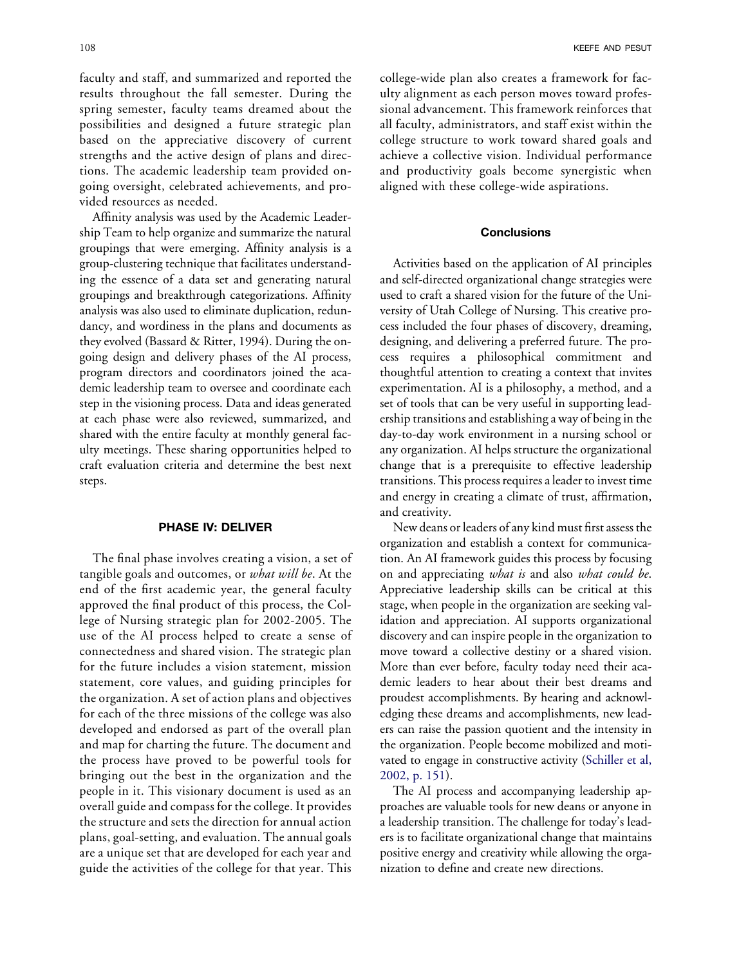faculty and staff, and summarized and reported the results throughout the fall semester. During the spring semester, faculty teams dreamed about the possibilities and designed a future strategic plan based on the appreciative discovery of current strengths and the active design of plans and directions. The academic leadership team provided ongoing oversight, celebrated achievements, and provided resources as needed.

Affinity analysis was used by the Academic Leadership Team to help organize and summarize the natural groupings that were emerging. Affinity analysis is a group-clustering technique that facilitates understanding the essence of a data set and generating natural groupings and breakthrough categorizations. Affinity analysis was also used to eliminate duplication, redundancy, and wordiness in the plans and documents as they evolved (Bassard & Ritter, 1994). During the ongoing design and delivery phases of the AI process, program directors and coordinators joined the academic leadership team to oversee and coordinate each step in the visioning process. Data and ideas generated at each phase were also reviewed, summarized, and shared with the entire faculty at monthly general faculty meetings. These sharing opportunities helped to craft evaluation criteria and determine the best next steps.

#### **PHASE IV: DELIVER**

The final phase involves creating a vision, a set of tangible goals and outcomes, or *what will be*. At the end of the first academic year, the general faculty approved the final product of this process, the College of Nursing strategic plan for 2002-2005. The use of the AI process helped to create a sense of connectedness and shared vision. The strategic plan for the future includes a vision statement, mission statement, core values, and guiding principles for the organization. A set of action plans and objectives for each of the three missions of the college was also developed and endorsed as part of the overall plan and map for charting the future. The document and the process have proved to be powerful tools for bringing out the best in the organization and the people in it. This visionary document is used as an overall guide and compass for the college. It provides the structure and sets the direction for annual action plans, goal-setting, and evaluation. The annual goals are a unique set that are developed for each year and guide the activities of the college for that year. This

college-wide plan also creates a framework for faculty alignment as each person moves toward professional advancement. This framework reinforces that all faculty, administrators, and staff exist within the college structure to work toward shared goals and achieve a collective vision. Individual performance and productivity goals become synergistic when aligned with these college-wide aspirations.

#### **Conclusions**

Activities based on the application of AI principles and self-directed organizational change strategies were used to craft a shared vision for the future of the University of Utah College of Nursing. This creative process included the four phases of discovery, dreaming, designing, and delivering a preferred future. The process requires a philosophical commitment and thoughtful attention to creating a context that invites experimentation. AI is a philosophy, a method, and a set of tools that can be very useful in supporting leadership transitions and establishing a way of being in the day-to-day work environment in a nursing school or any organization. AI helps structure the organizational change that is a prerequisite to effective leadership transitions. This process requires a leader to invest time and energy in creating a climate of trust, affirmation, and creativity.

New deans or leaders of any kind must first assess the organization and establish a context for communication. An AI framework guides this process by focusing on and appreciating *what is* and also *what could be*. Appreciative leadership skills can be critical at this stage, when people in the organization are seeking validation and appreciation. AI supports organizational discovery and can inspire people in the organization to move toward a collective destiny or a shared vision. More than ever before, faculty today need their academic leaders to hear about their best dreams and proudest accomplishments. By hearing and acknowledging these dreams and accomplishments, new leaders can raise the passion quotient and the intensity in the organization. People become mobilized and motivated to engage in constructive activity [\(Schiller et al,](#page-6-0) [2002, p. 151\)](#page-6-0).

The AI process and accompanying leadership approaches are valuable tools for new deans or anyone in a leadership transition. The challenge for today's leaders is to facilitate organizational change that maintains positive energy and creativity while allowing the organization to define and create new directions.